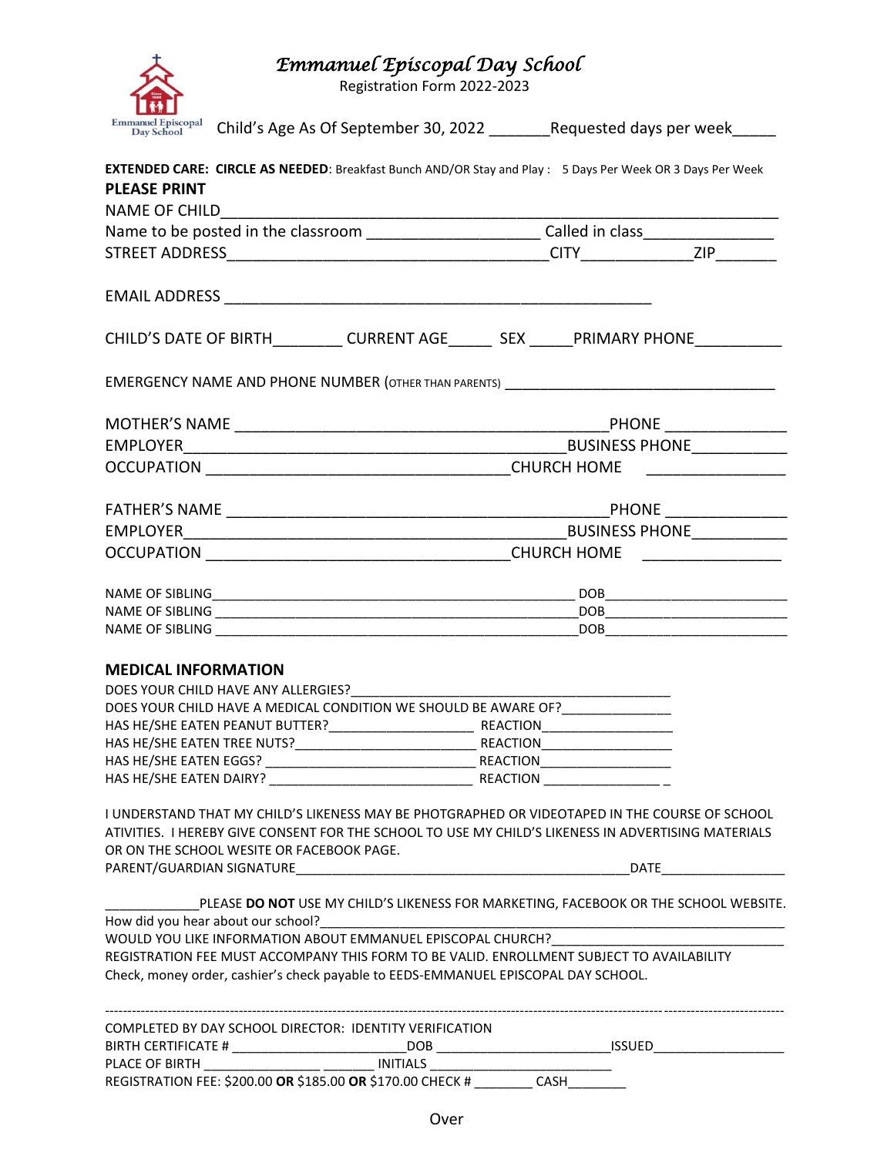| Emmanuel Episcopal Day School |
|-------------------------------|
|-------------------------------|

Registration Form 2022-2023

| Emmanuel Episcopal Child's Age As Of September 30, 2022 ________Requested days per week_____                                                                                                                                                       |                                                                                      |
|----------------------------------------------------------------------------------------------------------------------------------------------------------------------------------------------------------------------------------------------------|--------------------------------------------------------------------------------------|
| EXTENDED CARE: CIRCLE AS NEEDED: Breakfast Bunch AND/OR Stay and Play : 5 Days Per Week OR 3 Days Per Week<br><b>PLEASE PRINT</b>                                                                                                                  |                                                                                      |
| <b>NAME OF CHILD</b>                                                                                                                                                                                                                               |                                                                                      |
| Name to be posted in the classroom _________________________Called in class________________________                                                                                                                                                |                                                                                      |
|                                                                                                                                                                                                                                                    |                                                                                      |
|                                                                                                                                                                                                                                                    |                                                                                      |
|                                                                                                                                                                                                                                                    |                                                                                      |
| CHILD'S DATE OF BIRTH__________CURRENT AGE________ SEX ______ PRIMARY PHONE___________                                                                                                                                                             |                                                                                      |
|                                                                                                                                                                                                                                                    |                                                                                      |
|                                                                                                                                                                                                                                                    |                                                                                      |
|                                                                                                                                                                                                                                                    |                                                                                      |
|                                                                                                                                                                                                                                                    |                                                                                      |
|                                                                                                                                                                                                                                                    |                                                                                      |
|                                                                                                                                                                                                                                                    |                                                                                      |
|                                                                                                                                                                                                                                                    |                                                                                      |
|                                                                                                                                                                                                                                                    |                                                                                      |
|                                                                                                                                                                                                                                                    |                                                                                      |
|                                                                                                                                                                                                                                                    |                                                                                      |
|                                                                                                                                                                                                                                                    |                                                                                      |
|                                                                                                                                                                                                                                                    |                                                                                      |
| <b>MEDICAL INFORMATION</b>                                                                                                                                                                                                                         |                                                                                      |
|                                                                                                                                                                                                                                                    |                                                                                      |
| DOES YOUR CHILD HAVE A MEDICAL CONDITION WE SHOULD BE AWARE OF? _______________                                                                                                                                                                    |                                                                                      |
|                                                                                                                                                                                                                                                    |                                                                                      |
|                                                                                                                                                                                                                                                    |                                                                                      |
|                                                                                                                                                                                                                                                    |                                                                                      |
|                                                                                                                                                                                                                                                    |                                                                                      |
| I UNDERSTAND THAT MY CHILD'S LIKENESS MAY BE PHOTGRAPHED OR VIDEOTAPED IN THE COURSE OF SCHOOL<br>ATIVITIES. I HEREBY GIVE CONSENT FOR THE SCHOOL TO USE MY CHILD'S LIKENESS IN ADVERTISING MATERIALS<br>OR ON THE SCHOOL WESITE OR FACEBOOK PAGE. |                                                                                      |
|                                                                                                                                                                                                                                                    |                                                                                      |
| How did you hear about our school?                                                                                                                                                                                                                 | PLEASE DO NOT USE MY CHILD'S LIKENESS FOR MARKETING, FACEBOOK OR THE SCHOOL WEBSITE. |
| WOULD YOU LIKE INFORMATION ABOUT EMMANUEL EPISCOPAL CHURCH?                                                                                                                                                                                        |                                                                                      |
| REGISTRATION FEE MUST ACCOMPANY THIS FORM TO BE VALID. ENROLLMENT SUBJECT TO AVAILABILITY<br>Check, money order, cashier's check payable to EEDS-EMMANUEL EPISCOPAL DAY SCHOOL.                                                                    |                                                                                      |
|                                                                                                                                                                                                                                                    |                                                                                      |
| COMPLETED BY DAY SCHOOL DIRECTOR: IDENTITY VERIFICATION                                                                                                                                                                                            |                                                                                      |
|                                                                                                                                                                                                                                                    |                                                                                      |
|                                                                                                                                                                                                                                                    |                                                                                      |